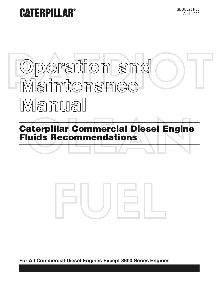## **CATERPILLAR®**

SEBU6251-06 April 1999

# **Operation and Maintenance Manual**

**Caterpillar Commercial Diesel Engine Fluids Recommendations**



**For All Commercial Diesel Engines Except 3600 Series Engines**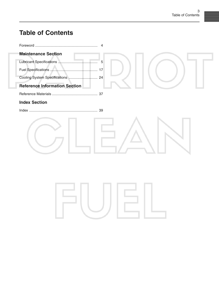## **Table of Contents**

| <b>Maintenance Section</b>           |
|--------------------------------------|
| 5                                    |
|                                      |
|                                      |
| <b>Reference Information Section</b> |
|                                      |
| <b>Index Section</b>                 |
|                                      |
|                                      |

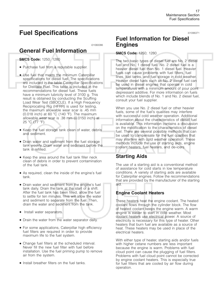## **Fuel Specifications**

i01060086

## **General Fuel Information**

**SMCS Code:** 1250; 1280

- Purchase fuel from a reputable supplier.
- Use fuel that meets the minimum Caterpillar specifications for diesel fuel. The specifications are included in the table Caterpillar Specifications for Distillate Fuel. This table is included in the recommendations for diesel fuel. These fuels have a minimum lubricity level of 3100 g. This result is obtained by conducting the Scuffing Load Wear Test (SBOCLE). If a High Frequency Reciprocating Rig (HFRR) is used for testing, the maximum allowable wear scar is .45 mm (0.018 inch) at 60 C (140 F). The maximum allowable wear scar is .38 mm (0.0150 inch) at <sup>25</sup> C (77 F).
- Keep the fuel storage tank clean of water, debris and sediment.
- Drain water and sediment from the fuel storage tank weekly. Drain water and sediment before the tank is refilled.
- Keep the area around the fuel tank filler neck clean of debris in order to prevent contamination of the fuel tank.
- As required, clean the inside of the engine's fuel tank.
- Drain water and sediment from the engine's fuel tank daily. Drain the tank at the start of a shift. After the fuel tank has been filled, allow the fuel to settle for ten minutes. This will allow the water and sediment to separate from the fuel. Then, drain the water and sediment from the tank.
- Install water separators.
- Drain the water from the water separator daily.
- For some applications, Caterpillar high efficiency fuel filters are required in order to provide maximum life to the fuel system.
- Change fuel filters at the scheduled interval. Never fill the new fuel filter with fuel before installation. Use the fuel priming pump to remove air from the system.
- Install breather filters on the fuel tanks.

## **Fuel Information for Diesel Engines**

#### **SMCS Code:** 1250; 1280

The two basic types of diesel fuel are No. 2 diesel fuel and No. 1 diesel fuel. No. 2 diesel fuel is a heavier diesel fuel than No. 1 diesel fuel. Heavier fuels can cause problems with fuel filters, fuel lines, fuel tanks, and fuel storage in cold weather. Heavier diesel fuels such as No. 2 diesel fuel can be used in diesel engines that operate in cold temperatures with a minimum amount of pour point depressant additive. For more information on fuels which include blends of No. 1 and No. 2 diesel fuel, consult your fuel supplier.

When you use No. 2 diesel fuel or other heavier fuels, some of the fuel's qualities may interfere with successful cold weather operation. Additional information about the characteristics of diesel fuel is available. This information contains a discussion on the modification to the characteristics of diesel fuel. There are several possible methods that can be used to compensate for the fuel qualities that may interfere with cold weather operation. These methods include the use of starting aids, engine coolant heaters, fuel heaters, and de-icers.

## **Starting Aids**

The use of a starting aid is a conventional method of assistance for cold starts in low temperature conditions. A variety of starting aids are available for Caterpillar engines. Follow the recommendations that are provided by the manufacturer of the starting aid.

#### **Engine Coolant Heaters**

These heaters heat the engine coolant. The heated coolant flows through the cylinder block. The flow of heated coolant keeps the engine warm. A warm engine is easier to start in cold weather. Most coolant heaters use electrical power. A source of electricity is necessary for this type of heater. Other heaters that burn fuel are available as a source of heat. These heaters may be used in place of the electrical heaters.

With either type of heater, starting aids and/or fuels with higher cetane numbers are less important because the engine is warm. Problems with fuel cloud point can cause the plugging of fuel filters. Problems with fuel cloud point cannot be corrected by engine coolant heaters. This is especially true for fuel filters that are cooled by air flow during operation.

i01096371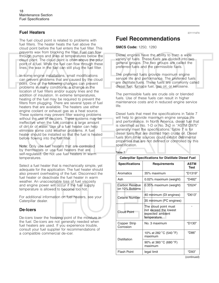#### **Fuel Heaters**

The fuel cloud point is related to problems with fuel filters. The heater heats the fuel above the cloud point before the fuel enters the fuel filter. This prevents wax from blocking the filter. Fuel can flow through pumps and lines at temperatures below the cloud point. The cloud point is often above the pour point of a fuel. While the fuel can flow through these lines, the wax in the fuel can still plug the fuel filter.

In some engine installations, small modifications can prevent problems that are caused by the cloud point. One of the following changes can prevent problems in many conditions: a change in the location of fuel filters and/or supply lines and the addition of insulation. In extreme temperatures, heating of the fuel may be required to prevent the filters from plugging. There are several types of fuel heaters that are available. The heaters use either engine coolant or exhaust gas as a heat source. These systems may prevent filter waxing problems without the use of de-icers. These systems may be ineffective when the fuel contains a large amount of dirt or of water. Use of a fuel heater can help eliminate some cold weather problems. A fuel heater should be installed so that the fuel is heated before flowing into the fuel filter.

Note: Only use fuel heaters that are controlled by thermostats or use fuel heaters that are self-regulated. Do not use fuel heaters in warm temperatures.

Select a fuel heater that is mechanically simple, yet adequate for the application. The fuel heater should also prevent overheating of the fuel. Disconnect the fuel heater or deactivate the fuel heater in warm weather. An unacceptable loss of fuel viscosity and engine power will occur if the fuel supply temperature is allowed to become too hot.

For additional information on fuel heaters, see your Caterpillar dealer.

#### **De-Icers**

De-icers lower the freezing point of the moisture in the fuel. De-icers are not generally needed when fuel heaters are used. If you experience trouble, consult your fuel supplier for recommendations of a compatible commercial de-icer.

**Fuel Recommendations**

#### **SMCS Code:** 1250; 1280

Diesel engines have the ability to burn a wide variety of fuels. These fuels are divided into two general groups. The two groups are called the preferred fuels and the permissible fuels.

The preferred fuels provide maximum engine service life and performance. The preferred fuels are distillate fuels. These fuels are commonly called diesel fuel, furnace fuel, gas oil, or kerosene.

The permissible fuels are crude oils or blended fuels. Use of these fuels can result in higher maintenance costs and in reduced engine service life.

Diesel fuels that meet the specifications in Table 7 will help to provide maximum engine service life and performance. In North America, diesel fuel that is identified as No. 1-D or No. 2-D in "ASTM D975" generally meet the specifications. Table 7 is for diesel fuels that are distilled from crude oil. Diesel fuels from other sources could exhibit detrimental properties that are not defined or controlled by this specification.

#### Table 7

| <b>Caterpillar Specifications for Distillate Diesel Fuel</b> |                                                                                   |                     |  |  |
|--------------------------------------------------------------|-----------------------------------------------------------------------------------|---------------------|--|--|
| <b>Specifications</b>                                        | <b>Requirements</b>                                                               | <b>ASTM</b><br>Test |  |  |
| Aromatics                                                    | 35% maximum                                                                       | "D1319"             |  |  |
| Ash                                                          | 0.02% maximum (weight)                                                            | "D482"              |  |  |
| <b>Carbon Residue</b><br>on 10% Bottoms                      | 0.35% maximum (weight)                                                            | "D524"              |  |  |
| <b>Cetane Number</b>                                         | 40 minimum (DI engines)                                                           | "D613"              |  |  |
|                                                              | 35 minimum (PC engines)                                                           |                     |  |  |
| <b>Cloud Point</b>                                           | The cloud point must<br>not exceed the lowest<br>expected ambient<br>temperature. |                     |  |  |
| Copper Strip<br>Corrosion                                    | No. 3 maximum                                                                     | "D <sub>130</sub> " |  |  |
| Distillation                                                 | 10% at 282 °C (540 °F)<br>maximum                                                 | "D86"               |  |  |
|                                                              | 90% at 360 °C (680 °F)<br>maximum                                                 |                     |  |  |
| <b>Flash Point</b>                                           | legal limit                                                                       | "D93"               |  |  |

i01111474

(continued)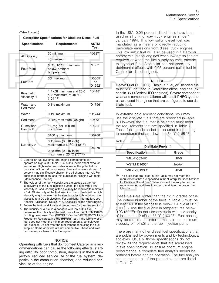(Table 7, contd)

| <b>Caterpillar Specifications for Distillate Diesel Fuel</b> |                                                                         |                            |  |  |
|--------------------------------------------------------------|-------------------------------------------------------------------------|----------------------------|--|--|
| <b>Specifications</b>                                        | <b>Requirements</b>                                                     | <b>ASTM</b><br><b>Test</b> |  |  |
| <b>API Gravity</b>                                           | 30 minimum                                                              | "D287"                     |  |  |
|                                                              | 45 maximum                                                              |                            |  |  |
| Pour Point                                                   | $6^{\circ}$ C (10 $^{\circ}$ F) minimum<br>below ambient<br>temperature | "D97"                      |  |  |
| Sulfur <sup>(1)</sup>                                        | 3% maximum                                                              | "D3605"<br>or<br>"D1552"   |  |  |
| Kinematic<br>Viscosity <sup>(2)</sup>                        | 1.4 cSt minimum and 20.0<br>cSt maximum at 40 °C<br>(104 °F)            | "D445"                     |  |  |
| Water and<br>Sediment                                        | $0.1\%$ maximum                                                         | "D1796"                    |  |  |
| Water                                                        | $0.1\%$ maximum                                                         | "D1744"                    |  |  |
| Sediment                                                     | 0.05% maximum (weight)                                                  | "D473"                     |  |  |
| Gums and<br>Resins <sup>(3)</sup>                            | 10 mg per 100 mL<br>maximum                                             | "D381"                     |  |  |
| Lubricity <sup>(4)</sup>                                     | 3100 g minimum                                                          | "D6708"                    |  |  |
|                                                              | 0.45 mm (0.018 inch)<br>maximum at 60 $°C$ (140 $°F$ )                  | "D6079"                    |  |  |
|                                                              | 0.38 mm (0.015 inch)<br>maximum at 25 °C (77 °F)                        |                            |  |  |

(1) Caterpillar fuel systems and engine components can operate on high sulfur fuels. Fuel sulfur levels affect exhaust emissions. High sulfur fuels also increase the potential for corrosion of internal components. Fuel sulfur levels above 1.0 percent may significantly shorten the oil change interval. For additional information, see this publication, "Engine Oil" topic (Maintenance Section).

- (2) The values of the fuel viscosity are the values as the fuel is delivered to the fuel injection pumps. If a fuel with a low viscosity is used, cooling of the fuel may be required to maintain a 1.4 cSt viscosity at the fuel injection pump. Fuels with a high viscosity might require fuel heaters in order to bring down the viscosity to a 20 cSt viscosity. For additional information, see Special Publication, SEBD0717, "Diesel Fuel and Your Engine".
- (3) Follow the test conditions and procedures for gasoline (motor).
- (4) The lubricity of a fuel is a concern with low sulfur fuel. To determine the lubricity of the fuel, use either the "ASTM D6708 Scuffing Load Wear Test (SBOCLE)" or the "ASTM D6079 High Frequency Reciprocating Rig (HFRR)" test. If the lubricity of a fuel does not meet the minimum requirements, consult your fuel supplier. Do not treat the fuel without consulting the fuel supplier. Some additives are not compatible. These additives can cause problems in the fuel system.

#### **NOTICE**

Operating with fuels that do not meet Caterpillar's recommendations can cause the following effects: starting difficulty, poor combustion, deposits in the fuel injectors, reduced service life of the fuel system, deposits in the combustion chamber, and reduced service life of the engine.

In the USA, 0.05 percent diesel fuels have been used in all on-highway truck engines since 1 January 1994. This low sulfur diesel fuel was mandated as a means of directly reducing particulate emissions from diesel truck engines. This low sulfur fuel will also be used in Caterpillar commercial diesel engines when low emissions are required or when the fuel supply sources provide this type of fuel. Caterpillar has not seen any detrimental effects with 0.05 percent sulfur fuel in Caterpillar diesel engines.

#### **NOTICE**

Heavy Fuel Oil (HFO), Residual fuel, or Blended fuel must NOT be used in Caterpillar diesel engines (except in 3600 Series HFO engines). Severe component wear and component failures will result if HFO type fuels are used in engines that are configured to use distillate fuel.

In extreme cold ambient conditions, you may use the distillate fuels that are specified in Table 8. However, the fuel that is selected must meet the requirements that are specified in Table 7. These fuels are intended to be used in operating temperatures that are down to −54 °C (−65 °F).

Table 8

| Distillate Fuels (1) |           |  |  |  |
|----------------------|-----------|--|--|--|
| <b>Specification</b> | Grade     |  |  |  |
| "MIL-T-5624R"        | $JP-5$    |  |  |  |
| "ASTM D1655"         | $Jet-A-1$ |  |  |  |
| "MIL-T-83133D"       | $JP-8$    |  |  |  |

(1) The fuels that are listed in this Table may not meet the requirements that are specified in the "Caterpillar Specifications for Distillate Diesel Fuel" Table. Consult the supplier for the recommended additives in order to maintain the proper fuel lubricity.

These fuels are lighter than the No. 2 grades of fuel. The cetane number of the fuels in Table 8 must be at least 40. If the viscosity is below 1.4 cSt at 38 °C (100 F), use the fuel only in temperatures below 0 C (32 F). Do not use any fuels with a viscosity of less than 1.2 cSt at 38 °C (100 °F). Fuel cooling may be required in order to maintain the minimum viscosity of 1.4 cSt at the fuel injection pump.

There are many other diesel fuel specifications that are published by governments and by technological societies. Usually, those specifications do not review all the requirements that are addressed in this specification. To ensure optimum engine performance, a complete fuel analysis should be obtained before engine operation. The fuel analysis should include all of the properties that are listed in Table 7.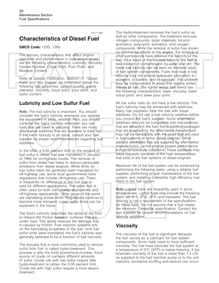i01111650

## **Characteristics of Diesel Fuel**

#### **SMCS Code:** 1250; 1280

The primary characteristics that affect engine operation and performance in cold temperatures are the following characteristics: Lubricity, Viscosity, Cetane Number, Cloud Point, Pour Point, and Moisture Content.

Refer to Special Publication, SEBD0717, "Diesel Fuels and Your Engine" for information about the following fuel properties: ignition quality, gravity (density), viscosity, cloud point, pour point, and sulfur content.

#### **Lubricity and Low Sulfur Fuel**

Note: The fuel lubricity is important. You should consider the fuel's lubricity whenever you operate the equipment in arctic weather. Also, you should consider the fuel's lubricity whenever you use fuels that are lower in viscosity. There are many aftermarket additives that are available to treat fuel. If the fuel's lubricity is an issue, consult your fuel supplier for proper recommendations regarding fuel additives.

In the USA, a 0.05 percent limit on the amount of fuel sulfur in diesel fuel was mandated in January of 1994 for on-highway trucks. The removal of sulfur from diesel fuel helps to reduce particulate emissions from diesel engines. While limits for fuel sulfur have not generally been mandated for off-highway use, some local governments have regulations that include off-highway use. There is frequently no difference in the fuel that is sold for different applications. The same fuel is often used for both on-highway applications and off-highway applications. Other areas of the world are mandating similar limits. Regulations continue to become more stringent. Lower sulfur limits can be expected in the future.

The fluid's lubricity describes the ability of the fluid to reduce the friction between surfaces that are under load. This ability reduces the damage that is caused by friction. Fuel injection systems rely on the lubricating properties of the fuel. Until fuel sulfur limits were mandated, the fuel's lubricity was generally believed to be a function of fuel viscosity.

The process that is most commonly used to remove sulfur from fuel is called hydro-treatment. This process is also the most economical process. Each source of crude oil contains different amounts of sulfur. Crude oils with low sulfur require little hydro-treatment to obtain the 0.05 percent limit. Crude oils with high sulfur require a more severe treatment.

The Hydro-treatment removes the fuel's sulfur as well as other components. The treatment removes nitrogen compounds, polar materials, bicyclic aromatics, polycyclic aromatics, and oxygen compounds. While the removal of sulfur has shown no detrimental effects to the engine, the removal of other compounds have lowered the lubricity of the fuel. As a result of the lowered lubricity, the fuel is less tolerant of contamination by water and dirt. The lower fuel lubricity can be seen as abrasive wear of fuel system components. Fuels that have a low lubricity may not provide adequate lubrication to plungers, to barrels, and to injectors. This problem may be compounded in areas that require winter blends of fuel. The lighter winter fuel blend has the following characteristics: lower viscosity, lower cloud point, and lower pour point.

All low sulfur fuels do not have a low lubricity. The fuel's lubricity may be enhanced with additives. Many fuel suppliers treat the fuel with these additives. Do not use a fuel lubricity additive before you consult the fuel's supplier. Some aftermarket additives may not be compatible with the additives that are already in the fuel. Some additive packages that are supplied by the aftermarket manufacturer may not be compatible with the seals that are used in fuel systems of some diesel engines. Other additive packages that are supplied by aftermarket manufacturers cannot provide proper performance in high temperature conditions. These additives may leave deposits because of the high temperatures that exist in the fuel systems of diesel engines.

Maximum life of the fuel system can be achieved by performing the following tasks: using a reliable fuel supplier, performing proper maintenance of the fuel system, and installing Caterpillar high efficiency fuel filters in the fuel system.

Note: Lighter fuels are frequently used in arctic temperatures. Lighter fuels may include the following fuels: Jet A-1, JP-8, JP-5, and kerosene. The fuel lubricity is not a requirement of the specifications for these fuels. Do not assume that a fuel meets the minimum Caterpillar specification. Contact the fuel supplier for proper recommendations on fuel lubricity additives.

## **Viscosity**

The viscosity of the fuel is significant because the fuel serves as a lubricant for fuel system components. Arctic fuels need to have sufficient viscosity. The fuel must lubricate the fuel system at a temperature of 0 C (32 F) or below freezing. If the kinematic viscosity of the fuel is lower than 1.4 cSt as supplied to the fuel injection pump or to the unit injectors, excessive scuffing and seizure can occur.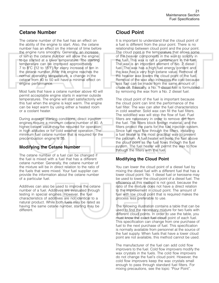## **Cetane Number**

The cetane number of the fuel has an effect on the ability of the engine to start. Also, the cetane number has an effect on the interval of time before the engine runs smoothly. Generally, an increase of ten in the cetane number will allow the engine to be started at a lower temperature. The starting temperature can be improved approximately 7 to 8 C (12 to 15 F) for every increase of ten in the cetane number. After the engine reaches the normal operating temperature, a change in the cetane from 40 to 50 will have a minimal effect on engine performance.

Most fuels that have a cetane number above 40 will permit acceptable engine starts in warmer outside temperatures. The engine will start satisfactorily with this fuel when the engine is kept warm. The engine can be kept warm by using either a heated room or a coolant heater.

During average starting conditions, direct injection engines require a minimum cetane number of 40. A higher cetane value may be required for operation in high altitudes or for cold weather operation. The minimum fuel cetane number that is required for the precombustion engine is 35.

#### **Modifying the Cetane Number**

The cetane number of a fuel can be changed if the fuel is mixed with a fuel that has a different cetane number. Generally, the cetane number of the mixture will be in direct relation to the ratio of the fuels that were mixed. Your fuel supplier can provide the information about the cetane number of a particular fuel.

Additives can also be used to improve the cetane number of a fuel. Additives are evaluated through testing in special engines. However, the fuel characteristics of additives are not identical to a natural product. While both fuels may be rated as having the same cetane number, starting may be different.

## **Cloud Point**

It is important to understand that the cloud point of a fuel is different from the pour point. There is no relationship between cloud point and the pour point. The cloud point is the temperature that allows some of the heavier components in the wax to solidify in the fuel. This wax is not a contaminant in the fuel. The wax is an important element of No. 2 diesel fuel. The wax has a high fuel energy content and the wax has a very high cetane value. Removal of the heavier wax lowers the cloud point of the fuel. Removal of the wax also increases the cost because less fuel can be made from the same amount of crude oil. Basically, a No. 1 diesel fuel is formulated by removing the wax from a No. 2 diesel fuel.

The cloud point of the fuel is important because the cloud point can limit the performance of the fuel filter. The wax can alter the fuel characteristics in cold weather. Solid wax can fill the fuel filters. The solidified wax will stop the flow of fuel. Fuel filters are necessary in order to remove dirt from the fuel. The filters block foreign material, and the filters protect the parts for the fuel injection system. Since fuel must flow through the filters, installing a fuel heater is the most practical way to prevent the problem. A fuel heater will keep the fuel above the cloud point as the fuel flows through the fuel system. The fuel heater will permit the wax to flow through the filters with the fuel.

#### **Modifying the Cloud Point**

You can lower the cloud point of a diesel fuel by mixing the diesel fuel with a different fuel that has a lower cloud point. No. 1 diesel fuel or kerosene may be used to lower the cloud point of a diesel fuel. The efficiency of this method is not good, because the ratio of the mixture does not have a direct relation to the improvement in cloud point. The amount of fuel with low cloud point that is required makes the process less preferable to use.

The following illustration contains a table that can be used to find the necessary mixture for two fuels with different cloud points. In order to use the table, you must know the exact fuel cloud point of each fuel. This specification can change from one purchase of fuel to the next purchase of fuel. This specification is normally available from personnel at the source of the fuel supply. When fuels that have a lower cloud point are not available, this method cannot be used.

The manufacturer of the fuel can add cold flow improvers to the fuel. Cold flow improvers modify the wax crystals in the fuels. The cold flow improvers do not change the fuel's cloud point. However, the cold flow improvers keep the wax crystals small enough to pass through standard fuel filters. For mixing precautions, see the topic "Pour Point".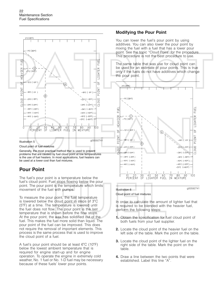

Cloud point of fuel mixtures

Generally, the most practical method that is used to prevent problems that are caused by fuel cloud point at low temperatures is the use of fuel heaters. In most applications, fuel heaters can be used at a lower cost than fuel mixtures.

### **Pour Point**

The fuel's pour point is a temperature below the fuel's cloud point. Fuel stops flowing below the pour point. The pour point is the temperature which limits movement of the fuel with pumps.

To measure the pour point, the fuel temperature is lowered below the cloud point in steps of 3 C (5 F) at a time. The temperature is lowered until the fuel does not flow. The pour point is the last temperature that is shown before the flow stops. At the pour point, the wax has solidified out of the fuel. This makes the fuel more solid than liquid. The pour point of the fuel can be improved. This does not require the removal of important elements. This process is the same process that is used to improve the cloud point of a fuel.

A fuel's pour point should be at least 6°C (10°F) below the lowest ambient temperature that is required for engine start-up and for engine operation. To operate the engine in extremely cold weather, No. 1 fuel or No. 1-D fuel may be necessary because of these fuels' lower pour points.

#### **Modifying the Pour Point**

You can lower the fuel's pour point by using additives. You can also lower the pour point by mixing the fuel with a fuel that has a lower pour point. See the topic "Cloud Point" for the procedure. This procedure is not the best procedure to use.

The same table that was use for cloud point can be used for an estimate of pour points. This is true only if the fuels do not have additives which change the pour point.



#### g00592741 Illustration 6

Cloud point of fuel mixtures

In order to calculate the amount of lighter fuel that is required to be blended with the heavier fuel, perform the following steps:

- **1.** Obtain the specification for fuel cloud point of both fuels from your fuel supplier.
- **2.** Locate the cloud point of the heavier fuel on the left side of the table. Mark the point on the table.
- **3.** Locate the cloud point of the lighter fuel on the right side of the table. Mark the point on the table.
- **4.** Draw a line between the two points that were established. Label this line "A".